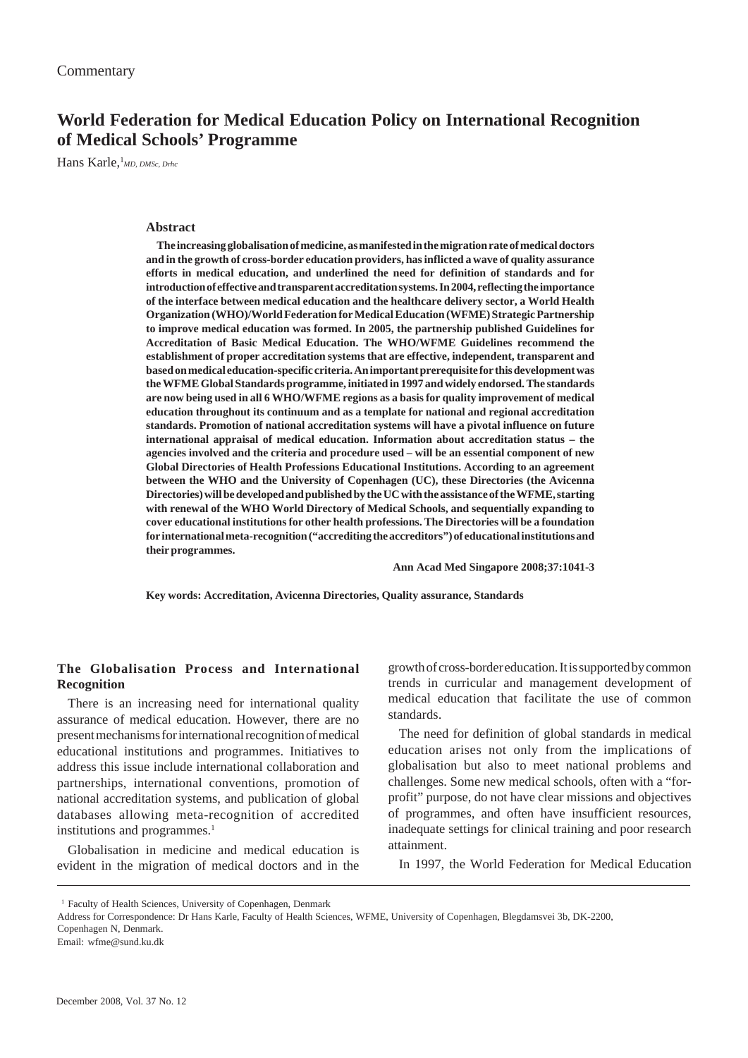# **World Federation for Medical Education Policy on International Recognition of Medical Schools' Programme**

Hans Karle,<sup>1</sup>MD, DMSc, Drhc

## **Abstract**

**The increasing globalisation of medicine, as manifested in the migration rate of medical doctors and in the growth of cross-border education providers, has inflicted a wave of quality assurance efforts in medical education, and underlined the need for definition of standards and for introduction of effective and transparent accreditation systems. In 2004, reflecting the importance of the interface between medical education and the healthcare delivery sector, a World Health Organization (WHO)/World Federation for Medical Education (WFME) Strategic Partnership to improve medical education was formed. In 2005, the partnership published Guidelines for Accreditation of Basic Medical Education. The WHO/WFME Guidelines recommend the establishment of proper accreditation systems that are effective, independent, transparent and based on medical education-specific criteria. An important prerequisite for this development was the WFME Global Standards programme, initiated in 1997 and widely endorsed. The standards are now being used in all 6 WHO/WFME regions as a basis for quality improvement of medical education throughout its continuum and as a template for national and regional accreditation standards. Promotion of national accreditation systems will have a pivotal influence on future international appraisal of medical education. Information about accreditation status – the agencies involved and the criteria and procedure used – will be an essential component of new Global Directories of Health Professions Educational Institutions. According to an agreement between the WHO and the University of Copenhagen (UC), these Directories (the Avicenna Directories) will be developed and published by the UC with the assistance of the WFME, starting with renewal of the WHO World Directory of Medical Schools, and sequentially expanding to cover educational institutions for other health professions. The Directories will be a foundation for international meta-recognition ("accrediting the accreditors") of educational institutions and their programmes.**

**Ann Acad Med Singapore 2008;37:1041-3**

**Key words: Accreditation, Avicenna Directories, Quality assurance, Standards**

## **The Globalisation Process and International Recognition**

There is an increasing need for international quality assurance of medical education. However, there are no present mechanisms for international recognition of medical educational institutions and programmes. Initiatives to address this issue include international collaboration and partnerships, international conventions, promotion of national accreditation systems, and publication of global databases allowing meta-recognition of accredited institutions and programmes.<sup>1</sup>

Globalisation in medicine and medical education is evident in the migration of medical doctors and in the growth of cross-border education. It is supported by common trends in curricular and management development of medical education that facilitate the use of common standards.

The need for definition of global standards in medical education arises not only from the implications of globalisation but also to meet national problems and challenges. Some new medical schools, often with a "forprofit" purpose, do not have clear missions and objectives of programmes, and often have insufficient resources, inadequate settings for clinical training and poor research attainment.

In 1997, the World Federation for Medical Education

<sup>1</sup> Faculty of Health Sciences, University of Copenhagen, Denmark

Address for Correspondence: Dr Hans Karle, Faculty of Health Sciences, WFME, University of Copenhagen, Blegdamsvei 3b, DK-2200,

Copenhagen N, Denmark.

Email: wfme@sund.ku.dk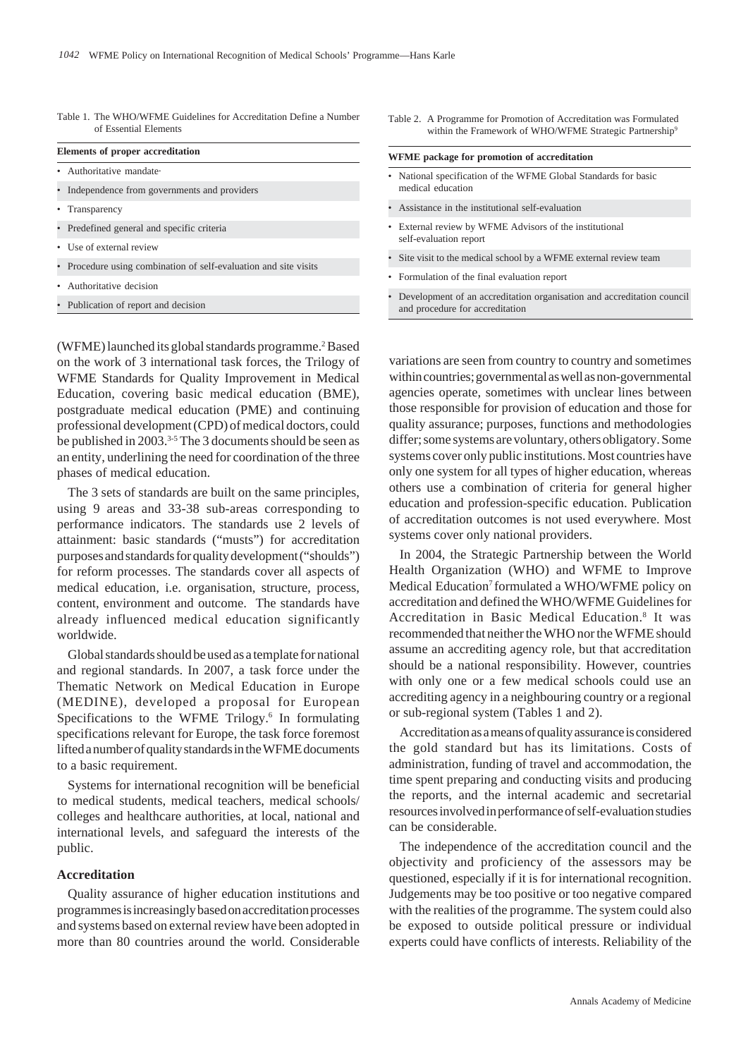| Table 1. The WHO/WFME Guidelines for Accreditation Define a Number |
|--------------------------------------------------------------------|
| of Essential Elements                                              |

| Elements of proper accreditation                                 |  |  |
|------------------------------------------------------------------|--|--|
| • Authoritative mandate.                                         |  |  |
| • Independence from governments and providers                    |  |  |
| • Transparency                                                   |  |  |
| • Predefined general and specific criteria                       |  |  |
| • Use of external review                                         |  |  |
| • Procedure using combination of self-evaluation and site visits |  |  |
| • Authoritative decision                                         |  |  |

• Publication of report and decision

(WFME) launched its global standards programme.<sup>2</sup> Based on the work of 3 international task forces, the Trilogy of WFME Standards for Quality Improvement in Medical Education, covering basic medical education (BME), postgraduate medical education (PME) and continuing professional development (CPD) of medical doctors, could be published in 2003.<sup>3-5</sup> The 3 documents should be seen as an entity, underlining the need for coordination of the three phases of medical education.

The 3 sets of standards are built on the same principles, using 9 areas and 33-38 sub-areas corresponding to performance indicators. The standards use 2 levels of attainment: basic standards ("musts") for accreditation purposes and standards for quality development ("shoulds") for reform processes. The standards cover all aspects of medical education, i.e. organisation, structure, process, content, environment and outcome. The standards have already influenced medical education significantly worldwide.

Global standards should be used as a template for national and regional standards. In 2007, a task force under the Thematic Network on Medical Education in Europe (MEDINE), developed a proposal for European Specifications to the WFME Trilogy.<sup>6</sup> In formulating specifications relevant for Europe, the task force foremost lifted a number of quality standards in the WFME documents to a basic requirement.

Systems for international recognition will be beneficial to medical students, medical teachers, medical schools/ colleges and healthcare authorities, at local, national and international levels, and safeguard the interests of the public.

## **Accreditation**

Quality assurance of higher education institutions and programmes is increasingly based on accreditation processes and systems based on external review have been adopted in more than 80 countries around the world. Considerable Table 2. A Programme for Promotion of Accreditation was Formulated within the Framework of WHO/WFME Strategic Partnership<sup>9</sup>

#### **WFME package for promotion of accreditation**

- National specification of the WFME Global Standards for basic medical education
- Assistance in the institutional self-evaluation
- External review by WFME Advisors of the institutional self-evaluation report
- Site visit to the medical school by a WFME external review team
- Formulation of the final evaluation report
- Development of an accreditation organisation and accreditation council and procedure for accreditation

variations are seen from country to country and sometimes within countries; governmental as well as non-governmental agencies operate, sometimes with unclear lines between those responsible for provision of education and those for quality assurance; purposes, functions and methodologies differ; some systems are voluntary, others obligatory. Some systems cover only public institutions. Most countries have only one system for all types of higher education, whereas others use a combination of criteria for general higher education and profession-specific education. Publication of accreditation outcomes is not used everywhere. Most systems cover only national providers.

In 2004, the Strategic Partnership between the World Health Organization (WHO) and WFME to Improve Medical Education<sup>7</sup> formulated a WHO/WFME policy on accreditation and defined the WHO/WFME Guidelines for Accreditation in Basic Medical Education.<sup>8</sup> It was recommended that neither the WHO nor the WFME should assume an accrediting agency role, but that accreditation should be a national responsibility. However, countries with only one or a few medical schools could use an accrediting agency in a neighbouring country or a regional or sub-regional system (Tables 1 and 2).

Accreditation as a means of quality assurance is considered the gold standard but has its limitations. Costs of administration, funding of travel and accommodation, the time spent preparing and conducting visits and producing the reports, and the internal academic and secretarial resources involved in performance of self-evaluation studies can be considerable.

The independence of the accreditation council and the objectivity and proficiency of the assessors may be questioned, especially if it is for international recognition. Judgements may be too positive or too negative compared with the realities of the programme. The system could also be exposed to outside political pressure or individual experts could have conflicts of interests. Reliability of the